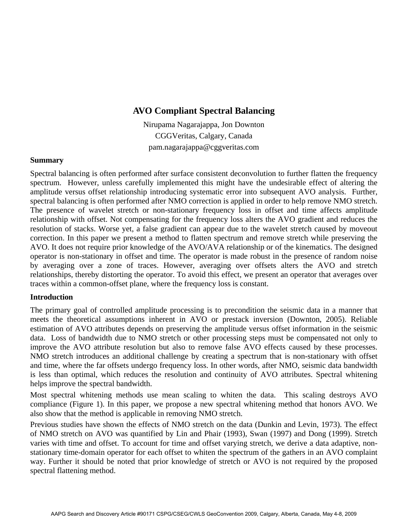# **AVO Compliant Spectral Balancing**

Nirupama Nagarajappa, Jon Downton CGGVeritas, Calgary, Canada pam.nagarajappa@cggveritas.com

### **Summary**

Spectral balancing is often performed after surface consistent deconvolution to further flatten the frequency spectrum. However, unless carefully implemented this might have the undesirable effect of altering the amplitude versus offset relationship introducing systematic error into subsequent AVO analysis. Further, spectral balancing is often performed after NMO correction is applied in order to help remove NMO stretch. The presence of wavelet stretch or non-stationary frequency loss in offset and time affects amplitude relationship with offset. Not compensating for the frequency loss alters the AVO gradient and reduces the resolution of stacks. Worse yet, a false gradient can appear due to the wavelet stretch caused by moveout correction. In this paper we present a method to flatten spectrum and remove stretch while preserving the AVO. It does not require prior knowledge of the AVO/AVA relationship or of the kinematics. The designed operator is non-stationary in offset and time. The operator is made robust in the presence of random noise by averaging over a zone of traces. However, averaging over offsets alters the AVO and stretch relationships, thereby distorting the operator. To avoid this effect, we present an operator that averages over traces within a common-offset plane, where the frequency loss is constant.

### **Introduction**

The primary goal of controlled amplitude processing is to precondition the seismic data in a manner that meets the theoretical assumptions inherent in AVO or prestack inversion (Downton, 2005). Reliable estimation of AVO attributes depends on preserving the amplitude versus offset information in the seismic data. Loss of bandwidth due to NMO stretch or other processing steps must be compensated not only to improve the AVO attribute resolution but also to remove false AVO effects caused by these processes. NMO stretch introduces an additional challenge by creating a spectrum that is non-stationary with offset and time, where the far offsets undergo frequency loss. In other words, after NMO, seismic data bandwidth is less than optimal, which reduces the resolution and continuity of AVO attributes. Spectral whitening helps improve the spectral bandwidth.

Most spectral whitening methods use mean scaling to whiten the data. This scaling destroys AVO compliance (Figure 1). In this paper, we propose a new spectral whitening method that honors AVO. We also show that the method is applicable in removing NMO stretch.

Previous studies have shown the effects of NMO stretch on the data (Dunkin and Levin, 1973). The effect of NMO stretch on AVO was quantified by Lin and Phair (1993), Swan (1997) and Dong (1999). Stretch varies with time and offset. To account for time and offset varying stretch, we derive a data adaptive, nonstationary time-domain operator for each offset to whiten the spectrum of the gathers in an AVO complaint way. Further it should be noted that prior knowledge of stretch or AVO is not required by the proposed spectral flattening method.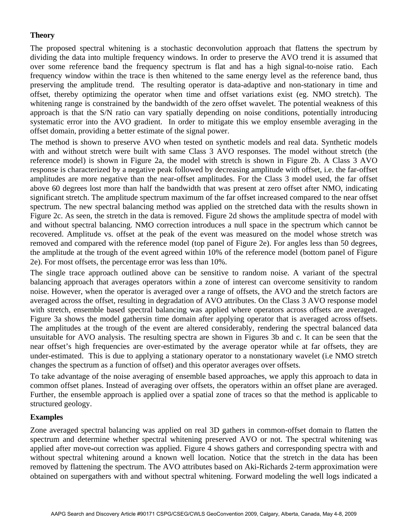## **Theory**

The proposed spectral whitening is a stochastic deconvolution approach that flattens the spectrum by dividing the data into multiple frequency windows. In order to preserve the AVO trend it is assumed that over some reference band the frequency spectrum is flat and has a high signal-to-noise ratio. Each frequency window within the trace is then whitened to the same energy level as the reference band, thus preserving the amplitude trend. The resulting operator is data-adaptive and non-stationary in time and offset, thereby optimizing the operator when time and offset variations exist (eg. NMO stretch). The whitening range is constrained by the bandwidth of the zero offset wavelet. The potential weakness of this approach is that the S/N ratio can vary spatially depending on noise conditions, potentially introducing systematic error into the AVO gradient. In order to mitigate this we employ ensemble averaging in the offset domain, providing a better estimate of the signal power.

The method is shown to preserve AVO when tested on synthetic models and real data. Synthetic models with and without stretch were built with same Class 3 AVO responses. The model without stretch (the reference model) is shown in Figure 2a, the model with stretch is shown in Figure 2b. A Class 3 AVO response is characterized by a negative peak followed by decreasing amplitude with offset, i.e. the far-offset amplitudes are more negative than the near-offset amplitudes. For the Class 3 model used, the far offset above 60 degrees lost more than half the bandwidth that was present at zero offset after NMO, indicating significant stretch. The amplitude spectrum maximum of the far offset increased compared to the near offset spectrum. The new spectral balancing method was applied on the stretched data with the results shown in Figure 2c. As seen, the stretch in the data is removed. Figure 2d shows the amplitude spectra of model with and without spectral balancing. NMO correction introduces a null space in the spectrum which cannot be recovered. Amplitude vs. offset at the peak of the event was measured on the model whose stretch was removed and compared with the reference model (top panel of Figure 2e). For angles less than 50 degrees, the amplitude at the trough of the event agreed within 10% of the reference model (bottom panel of Figure 2e). For most offsets, the percentage error was less than 10%.

The single trace approach outlined above can be sensitive to random noise. A variant of the spectral balancing approach that averages operators within a zone of interest can overcome sensitivity to random noise. However, when the operator is averaged over a range of offsets, the AVO and the stretch factors are averaged across the offset, resulting in degradation of AVO attributes. On the Class 3 AVO response model with stretch, ensemble based spectral balancing was applied where operators across offsets are averaged. Figure 3a shows the model gathersin time domain after applying operator that is averaged across offsets. The amplitudes at the trough of the event are altered considerably, rendering the spectral balanced data unsuitable for AVO analysis. The resulting spectra are shown in Figures 3b and c. It can be seen that the near offset's high frequencies are over-estimated by the average operator while at far offsets, they are under-estimated. This is due to applying a stationary operator to a nonstationary wavelet (i.e NMO stretch changes the spectrum as a function of offset) and this operator averages over offsets.

To take advantage of the noise averaging of ensemble based approaches, we apply this approach to data in common offset planes. Instead of averaging over offsets, the operators within an offset plane are averaged. Further, the ensemble approach is applied over a spatial zone of traces so that the method is applicable to structured geology.

### **Examples**

Zone averaged spectral balancing was applied on real 3D gathers in common-offset domain to flatten the spectrum and determine whether spectral whitening preserved AVO or not. The spectral whitening was applied after move-out correction was applied. Figure 4 shows gathers and corresponding spectra with and without spectral whitening around a known well location. Notice that the stretch in the data has been removed by flattening the spectrum. The AVO attributes based on Aki-Richards 2-term approximation were obtained on supergathers with and without spectral whitening. Forward modeling the well logs indicated a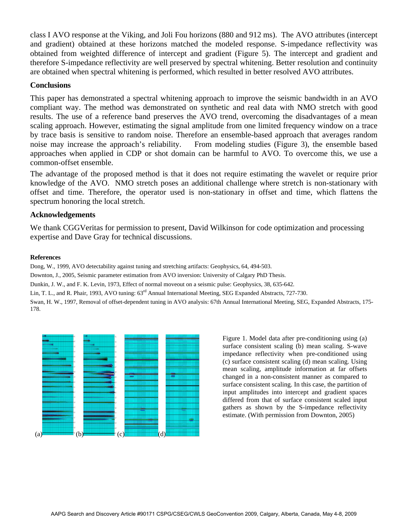class I AVO response at the Viking, and Joli Fou horizons (880 and 912 ms). The AVO attributes (intercept and gradient) obtained at these horizons matched the modeled response. S-impedance reflectivity was obtained from weighted difference of intercept and gradient (Figure 5). The intercept and gradient and therefore S-impedance reflectivity are well preserved by spectral whitening. Better resolution and continuity are obtained when spectral whitening is performed, which resulted in better resolved AVO attributes.

### **Conclusions**

This paper has demonstrated a spectral whitening approach to improve the seismic bandwidth in an AVO compliant way. The method was demonstrated on synthetic and real data with NMO stretch with good results. The use of a reference band preserves the AVO trend, overcoming the disadvantages of a mean scaling approach. However, estimating the signal amplitude from one limited frequency window on a trace by trace basis is sensitive to random noise. Therefore an ensemble-based approach that averages random noise may increase the approach's reliability. From modeling studies (Figure 3), the ensemble based approaches when applied in CDP or shot domain can be harmful to AVO. To overcome this, we use a common-offset ensemble.

The advantage of the proposed method is that it does not require estimating the wavelet or require prior knowledge of the AVO. NMO stretch poses an additional challenge where stretch is non-stationary with offset and time. Therefore, the operator used is non-stationary in offset and time, which flattens the spectrum honoring the local stretch.

### **Acknowledgements**

We thank CGGVeritas for permission to present, David Wilkinson for code optimization and processing expertise and Dave Gray for technical discussions.

#### **References**

Dong, W., 1999, AVO detectability against tuning and stretching artifacts: Geophysics, 64, 494-503.

Downton, J., 2005, Seismic parameter estimation from AVO inversion: University of Calgary PhD Thesis.

Dunkin, J. W., and F. K. Levin, 1973, Effect of normal moveout on a seismic pulse: Geophysics, 38, 635-642.

Lin, T. L., and R. Phair, 1993, AVO tuning: 63<sup>rd</sup> Annual International Meeting, SEG Expanded Abstracts, 727-730.

Swan, H. W., 1997, Removal of offset-dependent tuning in AVO analysis: 67th Annual International Meeting, SEG, Expanded Abstracts, 175- 178.



Figure 1. Model data after pre-conditioning using (a) surface consistent scaling (b) mean scaling. S-wave impedance reflectivity when pre-conditioned using (c) surface consistent scaling (d) mean scaling. Using mean scaling, amplitude information at far offsets changed in a non-consistent manner as compared to surface consistent scaling. In this case, the partition of input amplitudes into intercept and gradient spaces differed from that of surface consistent scaled input gathers as shown by the S-impedance reflectivity estimate. (With permission from Downton, 2005)